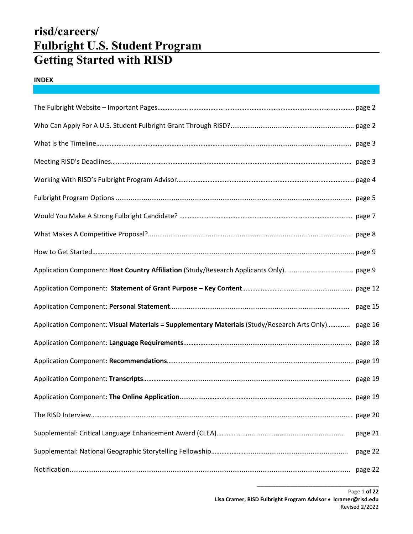# **risd/careers/ Fulbright U.S. Student Program Getting Started with RISD**

## **INDEX**

|                                                                                              | page 15 |
|----------------------------------------------------------------------------------------------|---------|
| Application Component: Visual Materials = Supplementary Materials (Study/Research Arts Only) | page 16 |
|                                                                                              |         |
|                                                                                              |         |
|                                                                                              |         |
|                                                                                              |         |
|                                                                                              |         |
|                                                                                              | page 21 |
|                                                                                              | page 22 |
|                                                                                              | page 22 |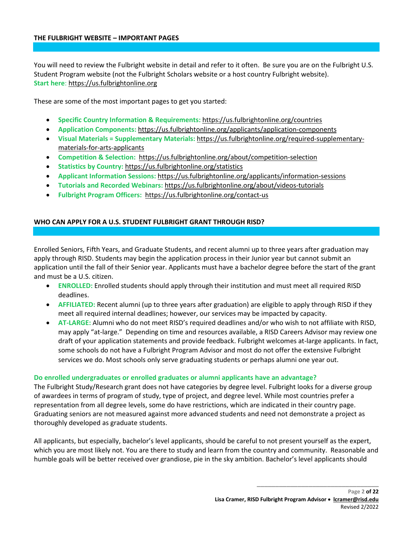You will need to review the Fulbright website in detail and refer to it often. Be sure you are on the Fulbright U.S. Student Program website (not the Fulbright Scholars website or a host country Fulbright website). **Start here**: [https://us.fulbrightonline.org](https://us.fulbrightonline.org/)

These are some of the most important pages to get you started:

- **Specific Country Information & Requirements:** <https://us.fulbrightonline.org/countries>
- **Application Components:** <https://us.fulbrightonline.org/applicants/application-components>
- **Visual Materials = Supplementary Materials:** [https://us.fulbrightonline.org/required-supplementary](https://us.fulbrightonline.org/required-supplementary-materials-for-arts-applicants)[materials-for-arts-applicants](https://us.fulbrightonline.org/required-supplementary-materials-for-arts-applicants)
- **Competition & Selection:** <https://us.fulbrightonline.org/about/competition-selection>
- **Statistics by Country:** <https://us.fulbrightonline.org/statistics>
- **Applicant Information Sessions:** <https://us.fulbrightonline.org/applicants/information-sessions>
- **Tutorials and Recorded Webinars:** <https://us.fulbrightonline.org/about/videos-tutorials>
- **Fulbright Program Officers:** <https://us.fulbrightonline.org/contact-us>

## **WHO CAN APPLY FOR A U.S. STUDENT FULBRIGHT GRANT THROUGH RISD?**

Enrolled Seniors, Fifth Years, and Graduate Students, and recent alumni up to three years after graduation may apply through RISD. Students may begin the application process in their Junior year but cannot submit an application until the fall of their Senior year. Applicants must have a bachelor degree before the start of the grant and must be a U.S. citizen.

- **ENROLLED:** Enrolled students should apply through their institution and must meet all required RISD deadlines.
- **AFFILIATED:** Recent alumni (up to three years after graduation) are eligible to apply through RISD if they meet all required internal deadlines; however, our services may be impacted by capacity.
- **AT-LARGE:** Alumni who do not meet RISD's required deadlines and/or who wish to not affiliate with RISD, may apply "at-large." Depending on time and resources available, a RISD Careers Advisor may review one draft of your application statements and provide feedback. Fulbright welcomes at-large applicants. In fact, some schools do not have a Fulbright Program Advisor and most do not offer the extensive Fulbright services we do. Most schools only serve graduating students or perhaps alumni one year out.

## **Do enrolled undergraduates or enrolled graduates or alumni applicants have an advantage?**

The Fulbright Study/Research grant does not have categories by degree level. Fulbright looks for a diverse group of awardees in terms of program of study, type of project, and degree level. While most countries prefer a representation from all degree levels, some do have restrictions, which are indicated in their country page. Graduating seniors are not measured against more advanced students and need not demonstrate a project as thoroughly developed as graduate students.

All applicants, but especially, bachelor's level applicants, should be careful to not present yourself as the expert, which you are most likely not. You are there to study and learn from the country and community. Reasonable and humble goals will be better received over grandiose, pie in the sky ambition. Bachelor's level applicants should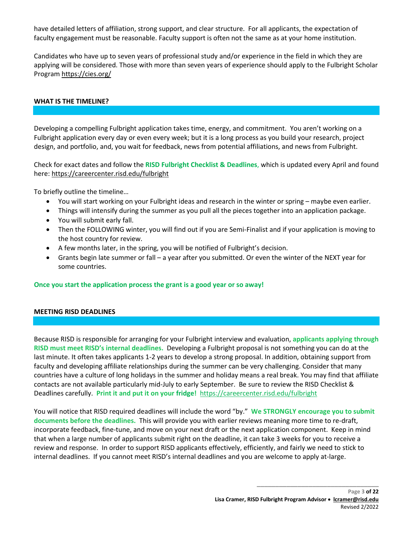have detailed letters of affiliation, strong support, and clear structure. For all applicants, the expectation of faculty engagement must be reasonable. Faculty support is often not the same as at your home institution.

Candidates who have up to seven years of professional study and/or experience in the field in which they are applying will be considered. Those with more than seven years of experience should apply to the Fulbright Scholar Program<https://cies.org/>

## **WHAT IS THE TIMELINE?**

Developing a compelling Fulbright application takes time, energy, and commitment. You aren't working on a Fulbright application every day or even every week; but it is a long process as you build your research, project design, and portfolio, and, you wait for feedback, news from potential affiliations, and news from Fulbright.

Check for exact dates and follow the **RISD Fulbright Checklist & Deadlines**, which is updated every April and found here[: https://careercenter.risd.edu/fulbright](https://careercenter.risd.edu/fulbright)

To briefly outline the timeline…

- You will start working on your Fulbright ideas and research in the winter or spring maybe even earlier.
- Things will intensify during the summer as you pull all the pieces together into an application package.
- You will submit early fall.
- Then the FOLLOWING winter, you will find out if you are Semi-Finalist and if your application is moving to the host country for review.
- A few months later, in the spring, you will be notified of Fulbright's decision.
- Grants begin late summer or fall a year after you submitted. Or even the winter of the NEXT year for some countries.

## **Once you start the application process the grant is a good year or so away!**

#### **MEETING RISD DEADLINES**

Because RISD is responsible for arranging for your Fulbright interview and evaluation, **applicants applying through RISD must meet RISD's internal deadlines.** Developing a Fulbright proposal is not something you can do at the last minute. It often takes applicants 1-2 years to develop a strong proposal. In addition, obtaining support from faculty and developing affiliate relationships during the summer can be very challenging. Consider that many countries have a culture of long holidays in the summer and holiday means a real break. You may find that affiliate contacts are not available particularly mid-July to early September. Be sure to review the RISD Checklist & Deadlines carefully. **Print it and put it on your fridge!** <https://careercenter.risd.edu/fulbright>

You will notice that RISD required deadlines will include the word "by." **We STRONGLY encourage you to submit documents before the deadlines.** This will provide you with earlier reviews meaning more time to re-draft, incorporate feedback, fine-tune, and move on your next draft or the next application component. Keep in mind that when a large number of applicants submit right on the deadline, it can take 3 weeks for you to receive a review and response. In order to support RISD applicants effectively, efficiently, and fairly we need to stick to internal deadlines. If you cannot meet RISD's internal deadlines and you are welcome to apply at-large.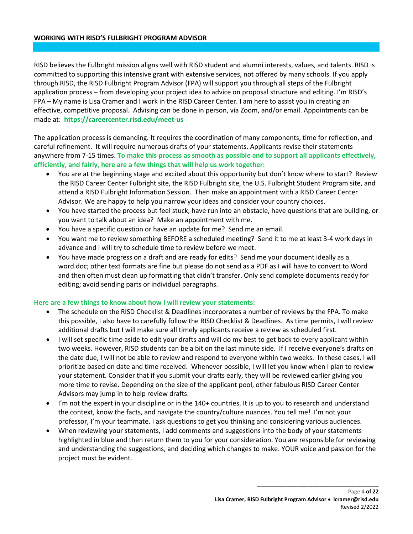#### **WORKING WITH RISD'S FULBRIGHT PROGRAM ADVISOR**

RISD believes the Fulbright mission aligns well with RISD student and alumni interests, values, and talents. RISD is committed to supporting this intensive grant with extensive services, not offered by many schools. If you apply through RISD, the RISD Fulbright Program Advisor (FPA) will support you through all steps of the Fulbright application process – from developing your project idea to advice on proposal structure and editing. I'm RISD's FPA – My name is Lisa Cramer and I work in the RISD Career Center. I am here to assist you in creating an effective, competitive proposal. Advising can be done in person, via Zoom, and/or email. Appointments can be made at: **<https://careercenter.risd.edu/meet-us>**

The application process is demanding. It requires the coordination of many components, time for reflection, and careful refinement. It will require numerous drafts of your statements. Applicants revise their statements anywhere from 7-15 times. **To make this process as smooth as possible and to support all applicants effectively, efficiently, and fairly, here are a few things that will help us work together:**

- You are at the beginning stage and excited about this opportunity but don't know where to start? Review the RISD Career Center Fulbright site, the RISD Fulbright site, the U.S. Fulbright Student Program site, and attend a RISD Fulbright Information Session. Then make an appointment with a RISD Career Center Advisor. We are happy to help you narrow your ideas and consider your country choices.
- You have started the process but feel stuck, have run into an obstacle, have questions that are building, or you want to talk about an idea? Make an appointment with me.
- You have a specific question or have an update for me? Send me an email.
- You want me to review something BEFORE a scheduled meeting? Send it to me at least 3-4 work days in advance and I will try to schedule time to review before we meet.
- You have made progress on a draft and are ready for edits? Send me your document ideally as a word.doc; other text formats are fine but please do not send as a PDF as I will have to convert to Word and then often must clean up formatting that didn't transfer. Only send complete documents ready for editing; avoid sending parts or individual paragraphs.

## **Here are a few things to know about how I will review your statements:**

- The schedule on the RISD Checklist & Deadlines incorporates a number of reviews by the FPA. To make this possible, I also have to carefully follow the RISD Checklist & Deadlines. As time permits, I will review additional drafts but I will make sure all timely applicants receive a review as scheduled first.
- I will set specific time aside to edit your drafts and will do my best to get back to every applicant within two weeks. However, RISD students can be a bit on the last minute side. If I receive everyone's drafts on the date due, I will not be able to review and respond to everyone within two weeks. In these cases, I will prioritize based on date and time received. Whenever possible, I will let you know when I plan to review your statement. Consider that if you submit your drafts early, they will be reviewed earlier giving you more time to revise. Depending on the size of the applicant pool, other fabulous RISD Career Center Advisors may jump in to help review drafts.
- I'm not the expert in your discipline or in the 140+ countries. It is up to you to research and understand the context, know the facts, and navigate the country/culture nuances. You tell me! I'm not your professor, I'm your teammate. I ask questions to get you thinking and considering various audiences.
- When reviewing your statements, I add comments and suggestions into the body of your statements highlighted in blue and then return them to you for your consideration. You are responsible for reviewing and understanding the suggestions, and deciding which changes to make. YOUR voice and passion for the project must be evident.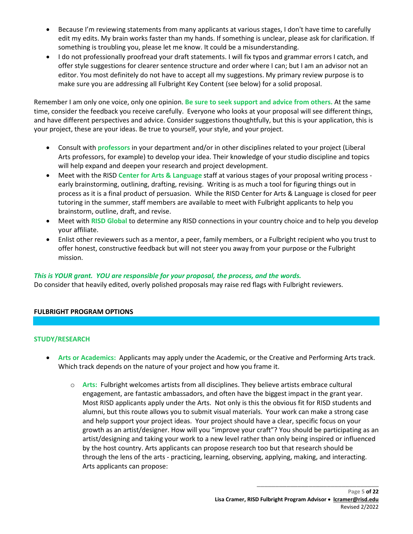- Because I'm reviewing statements from many applicants at various stages, I don't have time to carefully edit my edits. My brain works faster than my hands. If something is unclear, please ask for clarification. If something is troubling you, please let me know. It could be a misunderstanding.
- I do not professionally proofread your draft statements. I will fix typos and grammar errors I catch, and offer style suggestions for clearer sentence structure and order where I can; but I am an advisor not an editor. You most definitely do not have to accept all my suggestions. My primary review purpose is to make sure you are addressing all Fulbright Key Content (see below) for a solid proposal.

Remember I am only one voice, only one opinion. **Be sure to seek support and advice from others.** At the same time, consider the feedback you receive carefully. Everyone who looks at your proposal will see different things, and have different perspectives and advice. Consider suggestions thoughtfully, but this is your application, this is your project, these are your ideas. Be true to yourself, your style, and your project.

- Consult with **professors** in your department and/or in other disciplines related to your project (Liberal Arts professors, for example) to develop your idea. Their knowledge of your studio discipline and topics will help expand and deepen your research and project development.
- Meet with the RISD **Center for Arts & Language** staff at various stages of your proposal writing process early brainstorming, outlining, drafting, revising. Writing is as much a tool for figuring things out in process as it is a final product of persuasion. While the RISD Center for Arts & Language is closed for peer tutoring in the summer, staff members are available to meet with Fulbright applicants to help you brainstorm, outline, draft, and revise.
- Meet with **RISD Global** to determine any RISD connections in your country choice and to help you develop your affiliate.
- Enlist other reviewers such as a mentor, a peer, family members, or a Fulbright recipient who you trust to offer honest, constructive feedback but will not steer you away from your purpose or the Fulbright mission.

# *This is YOUR grant. YOU are responsible for your proposal, the process, and the words.*

Do consider that heavily edited, overly polished proposals may raise red flags with Fulbright reviewers.

# **FULBRIGHT PROGRAM OPTIONS**

# **STUDY/RESEARCH**

- **Arts or Academics:** Applicants may apply under the Academic, or the Creative and Performing Arts track. Which track depends on the nature of your project and how you frame it.
	- o **Arts:** Fulbright welcomes artists from all disciplines. They believe artists embrace cultural engagement, are fantastic ambassadors, and often have the biggest impact in the grant year. Most RISD applicants apply under the Arts. Not only is this the obvious fit for RISD students and alumni, but this route allows you to submit visual materials. Your work can make a strong case and help support your project ideas. Your project should have a clear, specific focus on your growth as an artist/designer. How will you "improve your craft"? You should be participating as an artist/designing and taking your work to a new level rather than only being inspired or influenced by the host country. Arts applicants can propose research too but that research should be through the lens of the arts - practicing, learning, observing, applying, making, and interacting. Arts applicants can propose: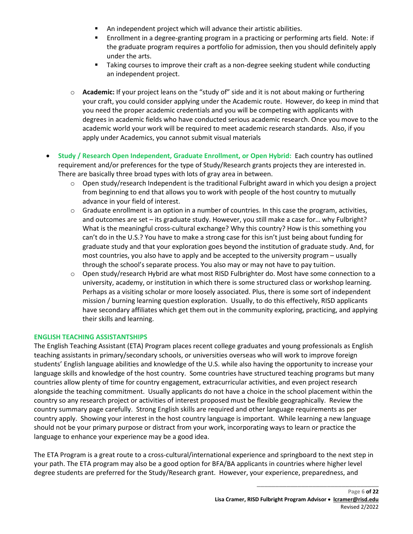- An independent project which will advance their artistic abilities.
- Enrollment in a degree-granting program in a practicing or performing arts field. Note: if the graduate program requires a portfolio for admission, then you should definitely apply under the arts.
- **Taking courses to improve their craft as a non-degree seeking student while conducting** an independent project.
- o **Academic:** If your project leans on the "study of" side and it is not about making or furthering your craft, you could consider applying under the Academic route. However, do keep in mind that you need the proper academic credentials and you will be competing with applicants with degrees in academic fields who have conducted serious academic research. Once you move to the academic world your work will be required to meet academic research standards. Also, if you apply under Academics, you cannot submit visual materials
- **Study / Research Open Independent, Graduate Enrollment, or Open Hybrid:** Each country has outlined requirement and/or preferences for the type of Study/Research grants projects they are interested in. There are basically three broad types with lots of gray area in between.
	- $\circ$  Open study/research Independent is the traditional Fulbright award in which you design a project from beginning to end that allows you to work with people of the host country to mutually advance in your field of interest.
	- $\circ$  Graduate enrollment is an option in a number of countries. In this case the program, activities, and outcomes are set – its graduate study. However, you still make a case for… why Fulbright? What is the meaningful cross-cultural exchange? Why this country? How is this something you can't do in the U.S.? You have to make a strong case for this isn't just being about funding for graduate study and that your exploration goes beyond the institution of graduate study. And, for most countries, you also have to apply and be accepted to the university program – usually through the school's separate process. You also may or may not have to pay tuition.
	- o Open study/research Hybrid are what most RISD Fulbrighter do. Most have some connection to a university, academy, or institution in which there is some structured class or workshop learning. Perhaps as a visiting scholar or more loosely associated. Plus, there is some sort of independent mission / burning learning question exploration. Usually, to do this effectively, RISD applicants have secondary affiliates which get them out in the community exploring, practicing, and applying their skills and learning.

# **ENGLISH TEACHING ASSISTANTSHIPS**

The English Teaching Assistant (ETA) Program places recent college graduates and young professionals as English teaching assistants in primary/secondary schools, or universities overseas who will work to improve foreign students' English language abilities and knowledge of the U.S. while also having the opportunity to increase your language skills and knowledge of the host country. Some countries have structured teaching programs but many countries allow plenty of time for country engagement, extracurricular activities, and even project research alongside the teaching commitment. Usually applicants do not have a choice in the school placement within the country so any research project or activities of interest proposed must be flexible geographically. Review the country summary page carefully. Strong English skills are required and other language requirements as per country apply. Showing your interest in the host country language is important. While learning a new language should not be your primary purpose or distract from your work, incorporating ways to learn or practice the language to enhance your experience may be a good idea.

The ETA Program is a great route to a cross-cultural/international experience and springboard to the next step in your path. The ETA program may also be a good option for BFA/BA applicants in countries where higher level degree students are preferred for the Study/Research grant. However, your experience, preparedness, and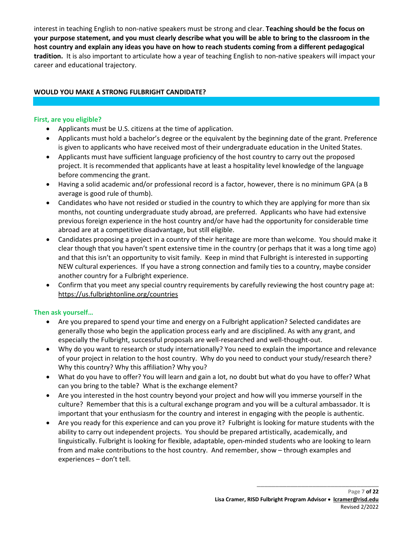interest in teaching English to non-native speakers must be strong and clear. **Teaching should be the focus on your purpose statement, and you must clearly describe what you will be able to bring to the classroom in the host country and explain any ideas you have on how to reach students coming from a different pedagogical tradition.** It is also important to articulate how a year of teaching English to non-native speakers will impact your career and educational trajectory.

## **WOULD YOU MAKE A STRONG FULBRIGHT CANDIDATE?**

## **First, are you eligible?**

- Applicants must be U.S. citizens at the time of application.
- Applicants must hold a bachelor's degree or the equivalent by the beginning date of the grant. Preference is given to applicants who have received most of their undergraduate education in the United States.
- Applicants must have sufficient language proficiency of the host country to carry out the proposed project. It is recommended that applicants have at least a hospitality level knowledge of the language before commencing the grant.
- Having a solid academic and/or professional record is a factor, however, there is no minimum GPA (a B average is good rule of thumb).
- Candidates who have not resided or studied in the country to which they are applying for more than six months, not counting undergraduate study abroad, are preferred. Applicants who have had extensive previous foreign experience in the host country and/or have had the opportunity for considerable time abroad are at a competitive disadvantage, but still eligible.
- Candidates proposing a project in a country of their heritage are more than welcome. You should make it clear though that you haven't spent extensive time in the country (or perhaps that it was a long time ago) and that this isn't an opportunity to visit family. Keep in mind that Fulbright is interested in supporting NEW cultural experiences. If you have a strong connection and family ties to a country, maybe consider another country for a Fulbright experience.
- Confirm that you meet any special country requirements by carefully reviewing the host country page at: <https://us.fulbrightonline.org/countries>

## **Then ask yourself…**

- Are you prepared to spend your time and energy on a Fulbright application? Selected candidates are generally those who begin the application process early and are disciplined. As with any grant, and especially the Fulbright, successful proposals are well-researched and well-thought-out.
- Why do you want to research or study internationally? You need to explain the importance and relevance of your project in relation to the host country. Why do you need to conduct your study/research there? Why this country? Why this affiliation? Why you?
- What do you have to offer? You will learn and gain a lot, no doubt but what do you have to offer? What can you bring to the table? What is the exchange element?
- Are you interested in the host country beyond your project and how will you immerse yourself in the culture? Remember that this is a cultural exchange program and you will be a cultural ambassador. It is important that your enthusiasm for the country and interest in engaging with the people is authentic.
- Are you ready for this experience and can you prove it? Fulbright is looking for mature students with the ability to carry out independent projects. You should be prepared artistically, academically, and linguistically. Fulbright is looking for flexible, adaptable, open-minded students who are looking to learn from and make contributions to the host country. And remember, show – through examples and experiences – don't tell.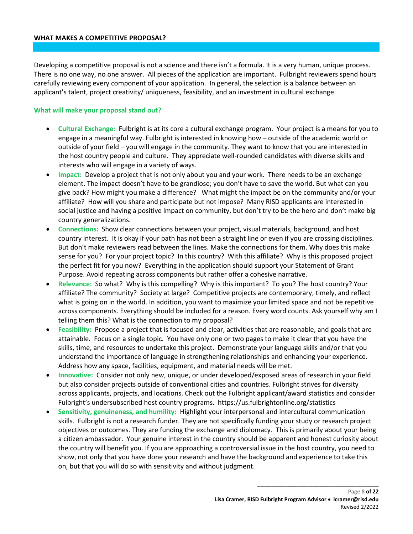#### **WHAT MAKES A COMPETITIVE PROPOSAL?**

Developing a competitive proposal is not a science and there isn't a formula. It is a very human, unique process. There is no one way, no one answer. All pieces of the application are important. Fulbright reviewers spend hours carefully reviewing every component of your application. In general, the selection is a balance between an applicant's talent, project creativity/ uniqueness, feasibility, and an investment in cultural exchange.

#### **What will make your proposal stand out?**

- **Cultural Exchange:** Fulbright is at its core a cultural exchange program. Your project is a means for you to engage in a meaningful way. Fulbright is interested in knowing how – outside of the academic world or outside of your field – you will engage in the community. They want to know that you are interested in the host country people and culture. They appreciate well-rounded candidates with diverse skills and interests who will engage in a variety of ways.
- **Impact:** Develop a project that is not only about you and your work. There needs to be an exchange element. The impact doesn't have to be grandiose; you don't have to save the world. But what can you give back? How might you make a difference? What might the impact be on the community and/or your affiliate? How will you share and participate but not impose? Many RISD applicants are interested in social justice and having a positive impact on community, but don't try to be the hero and don't make big country generalizations.
- **Connections:** Show clear connections between your project, visual materials, background, and host country interest. It is okay if your path has not been a straight line or even if you are crossing disciplines. But don't make reviewers read between the lines. Make the connections for them. Why does this make sense for you? For your project topic? In this country? With this affiliate? Why is this proposed project the perfect fit for you now? Everything in the application should support your Statement of Grant Purpose. Avoid repeating across components but rather offer a cohesive narrative.
- **Relevance:** So what? Why is this compelling? Why is this important? To you? The host country? Your affiliate? The community? Society at large? Competitive projects are contemporary, timely, and reflect what is going on in the world. In addition, you want to maximize your limited space and not be repetitive across components. Everything should be included for a reason. Every word counts. Ask yourself why am I telling them this? What is the connection to my proposal?
- **Feasibility:** Propose a project that is focused and clear, activities that are reasonable, and goals that are attainable. Focus on a single topic. You have only one or two pages to make it clear that you have the skills, time, and resources to undertake this project. Demonstrate your language skills and/or that you understand the importance of language in strengthening relationships and enhancing your experience. Address how any space, facilities, equipment, and material needs will be met.
- **Innovative:** Consider not only new, unique, or under developed/exposed areas of research in your field but also consider projects outside of conventional cities and countries. Fulbright strives for diversity across applicants, projects, and locations. Check out the Fulbright applicant/award statistics and consider Fulbright's undersubscribed host country programs. <https://us.fulbrightonline.org/statistics>
- **Sensitivity, genuineness, and humility:** Highlight your interpersonal and intercultural communication skills. Fulbright is not a research funder. They are not specifically funding your study or research project objectives or outcomes. They are funding the exchange and diplomacy. This is primarily about your being a citizen ambassador. Your genuine interest in the country should be apparent and honest curiosity about the country will benefit you. If you are approaching a controversial issue in the host country, you need to show, not only that you have done your research and have the background and experience to take this on, but that you will do so with sensitivity and without judgment.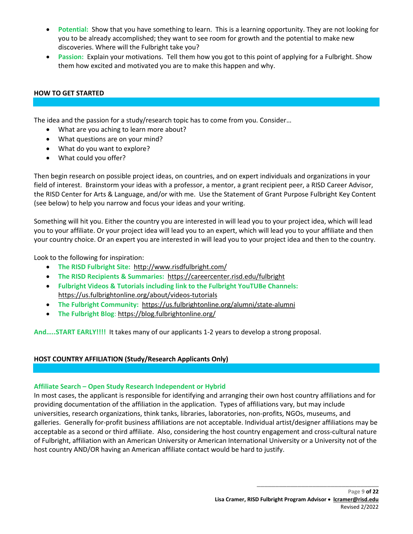- **Potential:** Show that you have something to learn. This is a learning opportunity. They are not looking for you to be already accomplished; they want to see room for growth and the potential to make new discoveries. Where will the Fulbright take you?
- **Passion:** Explain your motivations. Tell them how you got to this point of applying for a Fulbright. Show them how excited and motivated you are to make this happen and why.

## **HOW TO GET STARTED**

The idea and the passion for a study/research topic has to come from you. Consider…

- What are you aching to learn more about?
- What questions are on your mind?
- What do you want to explore?
- What could you offer?

Then begin research on possible project ideas, on countries, and on expert individuals and organizations in your field of interest. Brainstorm your ideas with a professor, a mentor, a grant recipient peer, a RISD Career Advisor, the RISD Center for Arts & Language, and/or with me. Use the Statement of Grant Purpose Fulbright Key Content (see below) to help you narrow and focus your ideas and your writing.

Something will hit you. Either the country you are interested in will lead you to your project idea, which will lead you to your affiliate. Or your project idea will lead you to an expert, which will lead you to your affiliate and then your country choice. Or an expert you are interested in will lead you to your project idea and then to the country.

Look to the following for inspiration:

- **The RISD Fulbright Site:** http://www.risdfulbright.com/
- **The RISD Recipients & Summaries:**<https://careercenter.risd.edu/fulbright>
- **Fulbright Videos & Tutorials including link to the Fulbright YouTUBe Channels:**  <https://us.fulbrightonline.org/about/videos-tutorials>
- **The Fulbright Community:**<https://us.fulbrightonline.org/alumni/state-alumni>
- **The Fulbright Blog**:<https://blog.fulbrightonline.org/>

**And…..START EARLY!!!!** It takes many of our applicants 1-2 years to develop a strong proposal.

## **HOST COUNTRY AFFILIATION (Study/Research Applicants Only)**

## **Affiliate Search – Open Study Research Independent or Hybrid**

In most cases, the applicant is responsible for identifying and arranging their own host country affiliations and for providing documentation of the affiliation in the application. Types of affiliations vary, but may include universities, research organizations, think tanks, libraries, laboratories, non-profits, NGOs, museums, and galleries. Generally for-profit business affiliations are not acceptable. Individual artist/designer affiliations may be acceptable as a second or third affiliate. Also, considering the host country engagement and cross-cultural nature of Fulbright, affiliation with an American University or American International University or a University not of the host country AND/OR having an American affiliate contact would be hard to justify.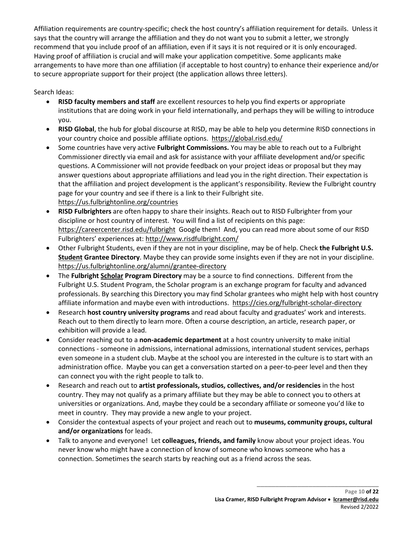Affiliation requirements are country-specific; check the host country's affiliation requirement for details. Unless it says that the country will arrange the affiliation and they do not want you to submit a letter, we strongly recommend that you include proof of an affiliation, even if it says it is not required or it is only encouraged. Having proof of affiliation is crucial and will make your application competitive. Some applicants make arrangements to have more than one affiliation (if acceptable to host country) to enhance their experience and/or to secure appropriate support for their project (the application allows three letters).

Search Ideas:

- **RISD faculty members and staff** are excellent resources to help you find experts or appropriate institutions that are doing work in your field internationally, and perhaps they will be willing to introduce you.
- **RISD Global**, the hub for global discourse at RISD, may be able to help you determine RISD connections in your country choice and possible affiliate options. <https://global.risd.edu/>
- Some countries have very active **Fulbright Commissions.** You may be able to reach out to a Fulbright Commissioner directly via email and ask for assistance with your affiliate development and/or specific questions. A Commissioner will not provide feedback on your project ideas or proposal but they may answer questions about appropriate affiliations and lead you in the right direction. Their expectation is that the affiliation and project development is the applicant's responsibility. Review the Fulbright country page for your country and see if there is a link to their Fulbright site. <https://us.fulbrightonline.org/countries>
- **RISD Fulbrighters** are often happy to share their insights. Reach out to RISD Fulbrighter from your discipline or host country of interest. You will find a list of recipients on this page: <https://careercenter.risd.edu/fulbright>Google them! And, you can read more about some of our RISD Fulbrighters' experiences at:<http://www.risdfulbright.com/>
- Other Fulbright Students, even if they are not in your discipline, may be of help. Check **the Fulbright U.S. Student Grantee Directory**. Maybe they can provide some insights even if they are not in your discipline. <https://us.fulbrightonline.org/alumni/grantee-directory>
- The **Fulbright Scholar Program Directory** may be a source to find connections. Different from the Fulbright U.S. Student Program, the Scholar program is an exchange program for faculty and advanced professionals. By searching this Directory you may find Scholar grantees who might help with host country affiliate information and maybe even with introductions. <https://cies.org/fulbright-scholar-directory>
- Research **host country university programs** and read about faculty and graduates' work and interests. Reach out to them directly to learn more. Often a course description, an article, research paper, or exhibition will provide a lead.
- Consider reaching out to a **non-academic department** at a host country university to make initial connections - someone in admissions, international admissions, international student services, perhaps even someone in a student club. Maybe at the school you are interested in the culture is to start with an administration office. Maybe you can get a conversation started on a peer-to-peer level and then they can connect you with the right people to talk to.
- Research and reach out to **artist professionals, studios, collectives, and/or residencies** in the host country. They may not qualify as a primary affiliate but they may be able to connect you to others at universities or organizations. And, maybe they could be a secondary affiliate or someone you'd like to meet in country. They may provide a new angle to your project.
- Consider the contextual aspects of your project and reach out to **museums, community groups, cultural and/or organizations** for leads.
- Talk to anyone and everyone! Let **colleagues, friends, and family** know about your project ideas. You never know who might have a connection of know of someone who knows someone who has a connection. Sometimes the search starts by reaching out as a friend across the seas.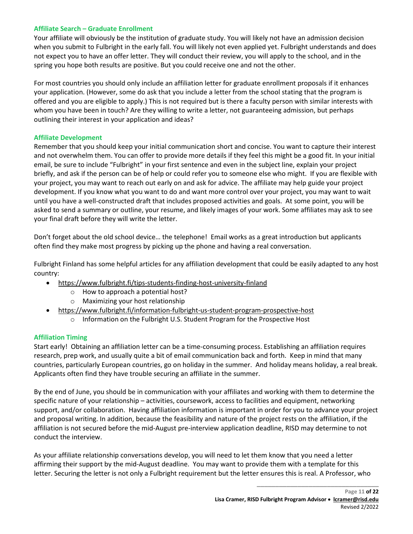## **Affiliate Search – Graduate Enrollment**

Your affiliate will obviously be the institution of graduate study. You will likely not have an admission decision when you submit to Fulbright in the early fall. You will likely not even applied yet. Fulbright understands and does not expect you to have an offer letter. They will conduct their review, you will apply to the school, and in the spring you hope both results are positive. But you could receive one and not the other.

For most countries you should only include an affiliation letter for graduate enrollment proposals if it enhances your application. (However, some do ask that you include a letter from the school stating that the program is offered and you are eligible to apply.) This is not required but is there a faculty person with similar interests with whom you have been in touch? Are they willing to write a letter, not guaranteeing admission, but perhaps outlining their interest in your application and ideas?

## **Affiliate Development**

Remember that you should keep your initial communication short and concise. You want to capture their interest and not overwhelm them. You can offer to provide more details if they feel this might be a good fit. In your initial email, be sure to include "Fulbright" in your first sentence and even in the subject line, explain your project briefly, and ask if the person can be of help or could refer you to someone else who might. If you are flexible with your project, you may want to reach out early on and ask for advice. The affiliate may help guide your project development. If you know what you want to do and want more control over your project, you may want to wait until you have a well-constructed draft that includes proposed activities and goals. At some point, you will be asked to send a summary or outline, your resume, and likely images of your work. Some affiliates may ask to see your final draft before they will write the letter.

Don't forget about the old school device… the telephone! Email works as a great introduction but applicants often find they make most progress by picking up the phone and having a real conversation.

Fulbright Finland has some helpful articles for any affiliation development that could be easily adapted to any host country:

- https://www.fulbright.fi/tips-students-finding-host-university-finland
	- o How to approach a potential host?
	- o Maximizing your host relationship
- https://www.fulbright.fi/information-fulbright-us-student-program-prospective-host
	- o Information on the Fulbright U.S. Student Program for the Prospective Host

# **Affiliation Timing**

Start early! Obtaining an affiliation letter can be a time-consuming process. Establishing an affiliation requires research, prep work, and usually quite a bit of email communication back and forth. Keep in mind that many countries, particularly European countries, go on holiday in the summer. And holiday means holiday, a real break. Applicants often find they have trouble securing an affiliate in the summer.

By the end of June, you should be in communication with your affiliates and working with them to determine the specific nature of your relationship – activities, coursework, access to facilities and equipment, networking support, and/or collaboration. Having affiliation information is important in order for you to advance your project and proposal writing. In addition, because the feasibility and nature of the project rests on the affiliation, if the affiliation is not secured before the mid-August pre-interview application deadline, RISD may determine to not conduct the interview.

As your affiliate relationship conversations develop, you will need to let them know that you need a letter affirming their support by the mid-August deadline. You may want to provide them with a template for this letter. Securing the letter is not only a Fulbright requirement but the letter ensures this is real. A Professor, who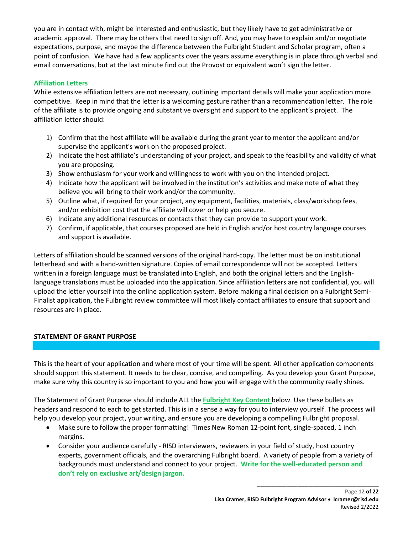you are in contact with, might be interested and enthusiastic, but they likely have to get administrative or academic approval. There may be others that need to sign off. And, you may have to explain and/or negotiate expectations, purpose, and maybe the difference between the Fulbright Student and Scholar program, often a point of confusion. We have had a few applicants over the years assume everything is in place through verbal and email conversations, but at the last minute find out the Provost or equivalent won't sign the letter.

# **Affiliation Letters**

While extensive affiliation letters are not necessary, outlining important details will make your application more competitive. Keep in mind that the letter is a welcoming gesture rather than a recommendation letter. The role of the affiliate is to provide ongoing and substantive oversight and support to the applicant's project. The affiliation letter should:

- 1) Confirm that the host affiliate will be available during the grant year to mentor the applicant and/or supervise the applicant's work on the proposed project.
- 2) Indicate the host affiliate's understanding of your project, and speak to the feasibility and validity of what you are proposing.
- 3) Show enthusiasm for your work and willingness to work with you on the intended project.
- 4) Indicate how the applicant will be involved in the institution's activities and make note of what they believe you will bring to their work and/or the community.
- 5) Outline what, if required for your project, any equipment, facilities, materials, class/workshop fees, and/or exhibition cost that the affiliate will cover or help you secure.
- 6) Indicate any additional resources or contacts that they can provide to support your work.
- 7) Confirm, if applicable, that courses proposed are held in English and/or host country language courses and support is available.

Letters of affiliation should be scanned versions of the original hard-copy. The letter must be on institutional letterhead and with a hand-written signature. Copies of email correspondence will not be accepted. Letters written in a foreign language must be translated into English, and both the original letters and the Englishlanguage translations must be uploaded into the application. Since affiliation letters are not confidential, you will upload the letter yourself into the online application system. Before making a final decision on a Fulbright Semi-Finalist application, the Fulbright review committee will most likely contact affiliates to ensure that support and resources are in place.

# **STATEMENT OF GRANT PURPOSE**

This is the heart of your application and where most of your time will be spent. All other application components should support this statement. It needs to be clear, concise, and compelling. As you develop your Grant Purpose, make sure why this country is so important to you and how you will engage with the community really shines.

The Statement of Grant Purpose should include ALL the **Fulbright Key Content** below. Use these bullets as headers and respond to each to get started. This is in a sense a way for you to interview yourself. The process will help you develop your project, your writing, and ensure you are developing a compelling Fulbright proposal.

- Make sure to follow the proper formatting! Times New Roman 12-point font, single-spaced, 1 inch margins.
- Consider your audience carefully RISD interviewers, reviewers in your field of study, host country experts, government officials, and the overarching Fulbright board. A variety of people from a variety of backgrounds must understand and connect to your project. **Write for the well-educated person and don't rely on exclusive art/design jargon.**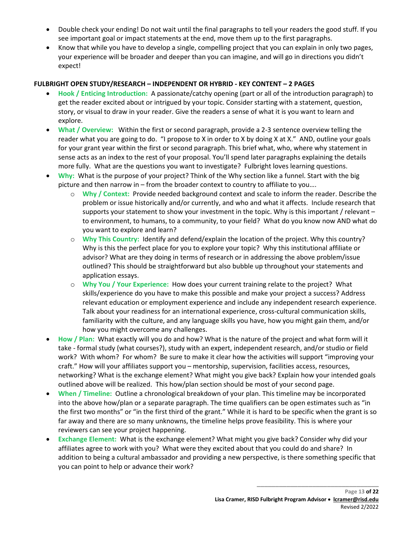- Double check your ending! Do not wait until the final paragraphs to tell your readers the good stuff. If you see important goal or impact statements at the end, move them up to the first paragraphs.
- Know that while you have to develop a single, compelling project that you can explain in only two pages, your experience will be broader and deeper than you can imagine, and will go in directions you didn't expect!

## **FULBRIGHT OPEN STUDY/RESEARCH – INDEPENDENT OR HYBRID - KEY CONTENT – 2 PAGES**

- **Hook / Enticing Introduction:** A passionate/catchy opening (part or all of the introduction paragraph) to get the reader excited about or intrigued by your topic. Consider starting with a statement, question, story, or visual to draw in your reader. Give the readers a sense of what it is you want to learn and explore.
- **What / Overview:** Within the first or second paragraph, provide a 2-3 sentence overview telling the reader what you are going to do. "I propose to X in order to X by doing X at X." AND, outline your goals for your grant year within the first or second paragraph. This brief what, who, where why statement in sense acts as an index to the rest of your proposal. You'll spend later paragraphs explaining the details more fully. What are the questions you want to investigate? Fulbright loves learning questions.
- **Why:** What is the purpose of your project? Think of the Why section like a funnel. Start with the big picture and then narrow in – from the broader context to country to affiliate to you….
	- o **Why / Context:** Provide needed background context and scale to inform the reader. Describe the problem or issue historically and/or currently, and who and what it affects. Include research that supports your statement to show your investment in the topic. Why is this important / relevant – to environment, to humans, to a community, to your field? What do you know now AND what do you want to explore and learn?
	- o **Why This Country:** Identify and defend/explain the location of the project. Why this country? Why is this the perfect place for you to explore your topic? Why this institutional affiliate or advisor? What are they doing in terms of research or in addressing the above problem/issue outlined? This should be straightforward but also bubble up throughout your statements and application essays.
	- o **Why You / Your Experience:** How does your current training relate to the project? What skills/experience do you have to make this possible and make your project a success? Address relevant education or employment experience and include any independent research experience. Talk about your readiness for an international experience, cross-cultural communication skills, familiarity with the culture, and any language skills you have, how you might gain them, and/or how you might overcome any challenges.
- **How / Plan:** What exactly will you do and how? What is the nature of the project and what form will it take - formal study (what courses?), study with an expert, independent research, and/or studio or field work? With whom? For whom? Be sure to make it clear how the activities will support "improving your craft." How will your affiliates support you – mentorship, supervision, facilities access, resources, networking? What is the exchange element? What might you give back? Explain how your intended goals outlined above will be realized. This how/plan section should be most of your second page.
- **When / Timeline:** Outline a chronological breakdown of your plan. This timeline may be incorporated into the above how/plan or a separate paragraph. The time qualifiers can be open estimates such as "in the first two months" or "in the first third of the grant." While it is hard to be specific when the grant is so far away and there are so many unknowns, the timeline helps prove feasibility. This is where your reviewers can see your project happening.
- **Exchange Element:** What is the exchange element? What might you give back? Consider why did your affiliates agree to work with you? What were they excited about that you could do and share? In addition to being a cultural ambassador and providing a new perspective, is there something specific that you can point to help or advance their work?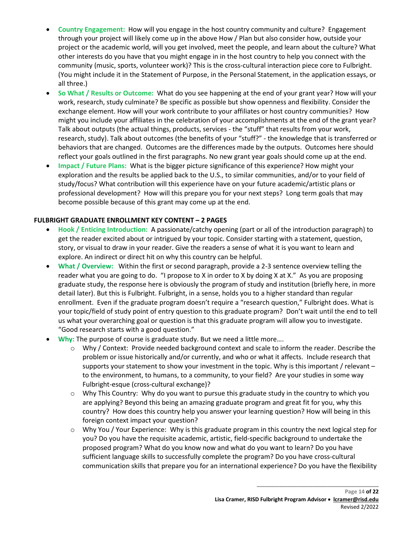- **Country Engagement:** How will you engage in the host country community and culture? Engagement through your project will likely come up in the above How / Plan but also consider how, outside your project or the academic world, will you get involved, meet the people, and learn about the culture? What other interests do you have that you might engage in in the host country to help you connect with the community (music, sports, volunteer work)? This is the cross-cultural interaction piece core to Fulbright. (You might include it in the Statement of Purpose, in the Personal Statement, in the application essays, or all three.)
- **So What / Results or Outcome:** What do you see happening at the end of your grant year? How will your work, research, study culminate? Be specific as possible but show openness and flexibility. Consider the exchange element. How will your work contribute to your affiliates or host country communities? How might you include your affiliates in the celebration of your accomplishments at the end of the grant year? Talk about outputs (the actual things, products, services - the "stuff" that results from your work, research, study). Talk about outcomes (the benefits of your "stuff?" - the knowledge that is transferred or behaviors that are changed. Outcomes are the differences made by the outputs. Outcomes here should reflect your goals outlined in the first paragraphs. No new grant year goals should come up at the end.
- **Impact / Future Plans:** What is the bigger picture significance of this experience? How might your exploration and the results be applied back to the U.S., to similar communities, and/or to your field of study/focus? What contribution will this experience have on your future academic/artistic plans or professional development? How will this prepare you for your next steps? Long term goals that may become possible because of this grant may come up at the end.

## **FULBRIGHT GRADUATE ENROLLMENT KEY CONTENT – 2 PAGES**

- **Hook / Enticing Introduction:** A passionate/catchy opening (part or all of the introduction paragraph) to get the reader excited about or intrigued by your topic. Consider starting with a statement, question, story, or visual to draw in your reader. Give the readers a sense of what it is you want to learn and explore. An indirect or direct hit on why this country can be helpful.
- **What / Overview:** Within the first or second paragraph, provide a 2-3 sentence overview telling the reader what you are going to do. "I propose to X in order to X by doing X at X." As you are proposing graduate study, the response here is obviously the program of study and institution (briefly here, in more detail later). But this is Fulbright. Fulbright, in a sense, holds you to a higher standard than regular enrollment. Even if the graduate program doesn't require a "research question," Fulbright does. What is your topic/field of study point of entry question to this graduate program? Don't wait until the end to tell us what your overarching goal or question is that this graduate program will allow you to investigate. "Good research starts with a good question."
- **Why:** The purpose of course is graduate study. But we need a little more….
	- Why / Context: Provide needed background context and scale to inform the reader. Describe the problem or issue historically and/or currently, and who or what it affects. Include research that supports your statement to show your investment in the topic. Why is this important / relevant – to the environment, to humans, to a community, to your field? Are your studies in some way Fulbright-esque (cross-cultural exchange)?
	- $\circ$  Why This Country: Why do you want to pursue this graduate study in the country to which you are applying? Beyond this being an amazing graduate program and great fit for you, why this country? How does this country help you answer your learning question? How will being in this foreign context impact your question?
	- $\circ$  Why You / Your Experience: Why is this graduate program in this country the next logical step for you? Do you have the requisite academic, artistic, field-specific background to undertake the proposed program? What do you know now and what do you want to learn? Do you have sufficient language skills to successfully complete the program? Do you have cross-cultural communication skills that prepare you for an international experience? Do you have the flexibility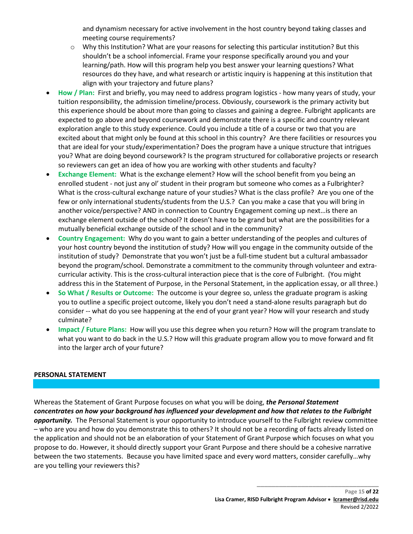and dynamism necessary for active involvement in the host country beyond taking classes and meeting course requirements?

- $\circ$  Why this Institution? What are your reasons for selecting this particular institution? But this shouldn't be a school infomercial. Frame your response specifically around you and your learning/path. How will this program help you best answer your learning questions? What resources do they have, and what research or artistic inquiry is happening at this institution that align with your trajectory and future plans?
- **How / Plan:** First and briefly, you may need to address program logistics how many years of study, your tuition responsibility, the admission timeline/process. Obviously, coursework is the primary activity but this experience should be about more than going to classes and gaining a degree. Fulbright applicants are expected to go above and beyond coursework and demonstrate there is a specific and country relevant exploration angle to this study experience. Could you include a title of a course or two that you are excited about that might only be found at this school in this country? Are there facilities or resources you that are ideal for your study/experimentation? Does the program have a unique structure that intrigues you? What are doing beyond coursework? Is the program structured for collaborative projects or research so reviewers can get an idea of how you are working with other students and faculty?
- **Exchange Element:** What is the exchange element? How will the school benefit from you being an enrolled student - not just any ol' student in their program but someone who comes as a Fulbrighter? What is the cross-cultural exchange nature of your studies? What is the class profile? Are you one of the few or only international students/students from the U.S.? Can you make a case that you will bring in another voice/perspective? AND in connection to Country Engagement coming up next…is there an exchange element outside of the school? It doesn't have to be grand but what are the possibilities for a mutually beneficial exchange outside of the school and in the community?
- **Country Engagement:** Why do you want to gain a better understanding of the peoples and cultures of your host country beyond the institution of study? How will you engage in the community outside of the institution of study? Demonstrate that you won't just be a full-time student but a cultural ambassador beyond the program/school. Demonstrate a commitment to the community through volunteer and extracurricular activity. This is the cross-cultural interaction piece that is the core of Fulbright. (You might address this in the Statement of Purpose, in the Personal Statement, in the application essay, or all three.)
- **So What / Results or Outcome:** The outcome is your degree so, unless the graduate program is asking you to outline a specific project outcome, likely you don't need a stand-alone results paragraph but do consider -- what do you see happening at the end of your grant year? How will your research and study culminate?
- **Impact / Future Plans:** How will you use this degree when you return? How will the program translate to what you want to do back in the U.S.? How will this graduate program allow you to move forward and fit into the larger arch of your future?

## **PERSONAL STATEMENT**

Whereas the Statement of Grant Purpose focuses on what you will be doing, *the Personal Statement concentrates on how your background has influenced your development and how that relates to the Fulbright opportunity.* The Personal Statement is your opportunity to introduce yourself to the Fulbright review committee – who are you and how do you demonstrate this to others? It should not be a recording of facts already listed on the application and should not be an elaboration of your Statement of Grant Purpose which focuses on what you propose to do. However, it should directly support your Grant Purpose and there should be a cohesive narrative between the two statements. Because you have limited space and every word matters, consider carefully…why are you telling your reviewers this?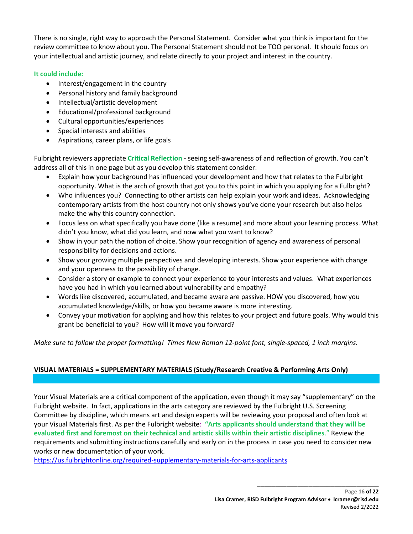There is no single, right way to approach the Personal Statement. Consider what you think is important for the review committee to know about you. The Personal Statement should not be TOO personal. It should focus on your intellectual and artistic journey, and relate directly to your project and interest in the country.

# **It could include:**

- Interest/engagement in the country
- Personal history and family background
- Intellectual/artistic development
- Educational/professional background
- Cultural opportunities/experiences
- Special interests and abilities
- Aspirations, career plans, or life goals

Fulbright reviewers appreciate **Critical Reflection** - seeing self-awareness of and reflection of growth. You can't address all of this in one page but as you develop this statement consider:

- Explain how your background has influenced your development and how that relates to the Fulbright opportunity. What is the arch of growth that got you to this point in which you applying for a Fulbright?
- Who influences you? Connecting to other artists can help explain your work and ideas. Acknowledging contemporary artists from the host country not only shows you've done your research but also helps make the why this country connection.
- Focus less on what specifically you have done (like a resume) and more about your learning process. What didn't you know, what did you learn, and now what you want to know?
- Show in your path the notion of choice. Show your recognition of agency and awareness of personal responsibility for decisions and actions.
- Show your growing multiple perspectives and developing interests. Show your experience with change and your openness to the possibility of change.
- Consider a story or example to connect your experience to your interests and values. What experiences have you had in which you learned about vulnerability and empathy?
- Words like discovered, accumulated, and became aware are passive. HOW you discovered, how you accumulated knowledge/skills, or how you became aware is more interesting.
- Convey your motivation for applying and how this relates to your project and future goals. Why would this grant be beneficial to you? How will it move you forward?

*Make sure to follow the proper formatting! Times New Roman 12-point font, single-spaced, 1 inch margins.*

# **VISUAL MATERIALS = SUPPLEMENTARY MATERIALS (Study/Research Creative & Performing Arts Only)**

Your Visual Materials are a critical component of the application, even though it may say "supplementary" on the Fulbright website. In fact, applications in the arts category are reviewed by the Fulbright U.S. Screening Committee by discipline, which means art and design experts will be reviewing your proposal and often look at your Visual Materials first. As per the Fulbright website: **"Arts applicants should understand that they will be evaluated first and foremost on their technical and artistic skills within their artistic disciplines**." Review the requirements and submitting instructions carefully and early on in the process in case you need to consider new works or new documentation of your work.

<https://us.fulbrightonline.org/required-supplementary-materials-for-arts-applicants>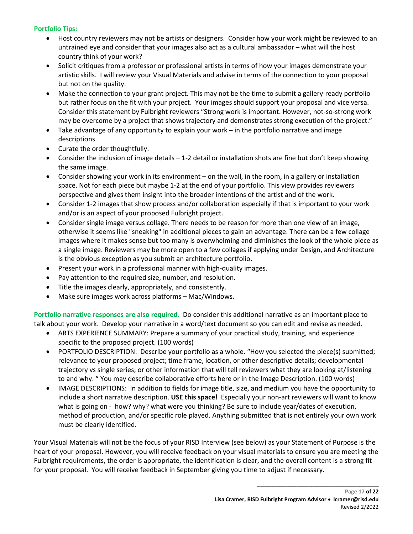## **Portfolio Tips:**

- Host country reviewers may not be artists or designers. Consider how your work might be reviewed to an untrained eye and consider that your images also act as a cultural ambassador – what will the host country think of your work?
- Solicit critiques from a professor or professional artists in terms of how your images demonstrate your artistic skills. I will review your Visual Materials and advise in terms of the connection to your proposal but not on the quality.
- Make the connection to your grant project. This may not be the time to submit a gallery-ready portfolio but rather focus on the fit with your project. Your images should support your proposal and vice versa. Consider this statement by Fulbright reviewers "Strong work is important. However, not-so-strong work may be overcome by a project that shows trajectory and demonstrates strong execution of the project."
- Take advantage of any opportunity to explain your work in the portfolio narrative and image descriptions.
- Curate the order thoughtfully.
- Consider the inclusion of image details 1-2 detail or installation shots are fine but don't keep showing the same image.
- Consider showing your work in its environment on the wall, in the room, in a gallery or installation space. Not for each piece but maybe 1-2 at the end of your portfolio. This view provides reviewers perspective and gives them insight into the broader intentions of the artist and of the work.
- Consider 1-2 images that show process and/or collaboration especially if that is important to your work and/or is an aspect of your proposed Fulbright project.
- Consider single image versus collage. There needs to be reason for more than one view of an image, otherwise it seems like "sneaking" in additional pieces to gain an advantage. There can be a few collage images where it makes sense but too many is overwhelming and diminishes the look of the whole piece as a single image. Reviewers may be more open to a few collages if applying under Design, and Architecture is the obvious exception as you submit an architecture portfolio.
- Present your work in a professional manner with high-quality images.
- Pay attention to the required size, number, and resolution.
- Title the images clearly, appropriately, and consistently.
- Make sure images work across platforms Mac/Windows.

**Portfolio narrative responses are also required.** Do consider this additional narrative as an important place to talk about your work. Develop your narrative in a word/text document so you can edit and revise as needed.

- ARTS EXPERIENCE SUMMARY: Prepare a summary of your practical study, training, and experience specific to the proposed project. (100 words)
- PORTFOLIO DESCRIPTION: Describe your portfolio as a whole. "How you selected the piece(s) submitted; relevance to your proposed project; time frame, location, or other descriptive details; developmental trajectory vs single series; or other information that will tell reviewers what they are looking at/listening to and why. " You may describe collaborative efforts here or in the Image Description. (100 words)
- IMAGE DESCRIPTIONS: In addition to fields for image title, size, and medium you have the opportunity to include a short narrative description. **USE this space!** Especially your non-art reviewers will want to know what is going on - how? why? what were you thinking? Be sure to include year/dates of execution, method of production, and/or specific role played. Anything submitted that is not entirely your own work must be clearly identified.

Your Visual Materials will not be the focus of your RISD Interview (see below) as your Statement of Purpose is the heart of your proposal. However, you will receive feedback on your visual materials to ensure you are meeting the Fulbright requirements, the order is appropriate, the identification is clear, and the overall content is a strong fit for your proposal. You will receive feedback in September giving you time to adjust if necessary.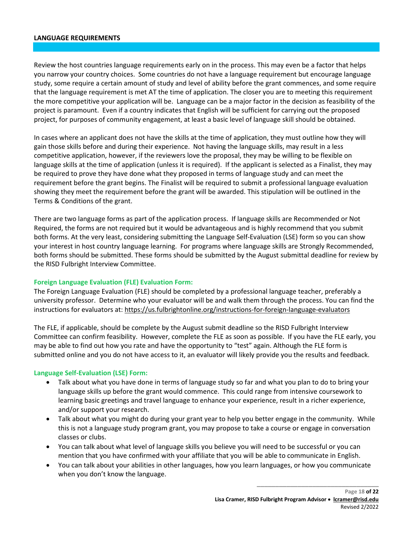#### **LANGUAGE REQUIREMENTS**

Review the host countries language requirements early on in the process. This may even be a factor that helps you narrow your country choices. Some countries do not have a language requirement but encourage language study, some require a certain amount of study and level of ability before the grant commences, and some require that the language requirement is met AT the time of application. The closer you are to meeting this requirement the more competitive your application will be. Language can be a major factor in the decision as feasibility of the project is paramount. Even if a country indicates that English will be sufficient for carrying out the proposed project, for purposes of community engagement, at least a basic level of language skill should be obtained.

In cases where an applicant does not have the skills at the time of application, they must outline how they will gain those skills before and during their experience. Not having the language skills, may result in a less competitive application, however, if the reviewers love the proposal, they may be willing to be flexible on language skills at the time of application (unless it is required). If the applicant is selected as a Finalist, they may be required to prove they have done what they proposed in terms of language study and can meet the requirement before the grant begins. The Finalist will be required to submit a professional language evaluation showing they meet the requirement before the grant will be awarded. This stipulation will be outlined in the Terms & Conditions of the grant.

There are two language forms as part of the application process. If language skills are Recommended or Not Required, the forms are not required but it would be advantageous and is highly recommend that you submit both forms. At the very least, considering submitting the Language Self-Evaluation (LSE) form so you can show your interest in host country language learning. For programs where language skills are Strongly Recommended, both forms should be submitted. These forms should be submitted by the August submittal deadline for review by the RISD Fulbright Interview Committee.

#### **Foreign Language Evaluation (FLE) Evaluation Form:**

The Foreign Language Evaluation (FLE) should be completed by a professional language teacher, preferably a university professor. Determine who your evaluator will be and walk them through the process. You can find the instructions for evaluators at:<https://us.fulbrightonline.org/instructions-for-foreign-language-evaluators>

The FLE, if applicable, should be complete by the August submit deadline so the RISD Fulbright Interview Committee can confirm feasibility. However, complete the FLE as soon as possible. If you have the FLE early, you may be able to find out how you rate and have the opportunity to "test" again. Although the FLE form is submitted online and you do not have access to it, an evaluator will likely provide you the results and feedback.

#### **Language Self-Evaluation (LSE) Form:**

- Talk about what you have done in terms of language study so far and what you plan to do to bring your language skills up before the grant would commence. This could range from intensive coursework to learning basic greetings and travel language to enhance your experience, result in a richer experience, and/or support your research.
- Talk about what you might do during your grant year to help you better engage in the community. While this is not a language study program grant, you may propose to take a course or engage in conversation classes or clubs.
- You can talk about what level of language skills you believe you will need to be successful or you can mention that you have confirmed with your affiliate that you will be able to communicate in English.
- You can talk about your abilities in other languages, how you learn languages, or how you communicate when you don't know the language.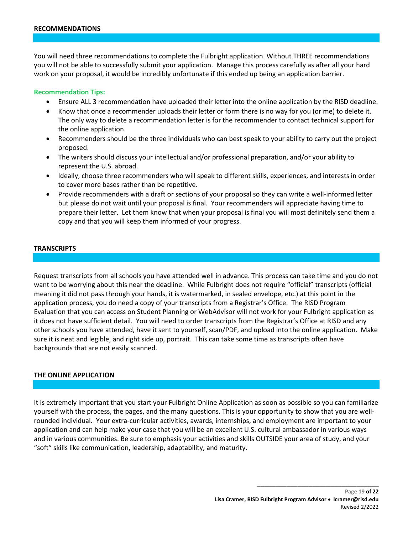You will need three recommendations to complete the Fulbright application. Without THREE recommendations you will not be able to successfully submit your application. Manage this process carefully as after all your hard work on your proposal, it would be incredibly unfortunate if this ended up being an application barrier.

#### **Recommendation Tips:**

- Ensure ALL 3 recommendation have uploaded their letter into the online application by the RISD deadline.
- Know that once a recommender uploads their letter or form there is no way for you (or me) to delete it. The only way to delete a recommendation letter is for the recommender to contact technical support for the online application.
- Recommenders should be the three individuals who can best speak to your ability to carry out the project proposed.
- The writers should discuss your intellectual and/or professional preparation, and/or your ability to represent the U.S. abroad.
- Ideally, choose three recommenders who will speak to different skills, experiences, and interests in order to cover more bases rather than be repetitive.
- Provide recommenders with a draft or sections of your proposal so they can write a well-informed letter but please do not wait until your proposal is final. Your recommenders will appreciate having time to prepare their letter. Let them know that when your proposal is final you will most definitely send them a copy and that you will keep them informed of your progress.

#### **TRANSCRIPTS**

Request transcripts from all schools you have attended well in advance. This process can take time and you do not want to be worrying about this near the deadline. While Fulbright does not require "official" transcripts (official meaning it did not pass through your hands, it is watermarked, in sealed envelope, etc.) at this point in the application process, you do need a copy of your transcripts from a Registrar's Office. The RISD Program Evaluation that you can access on Student Planning or WebAdvisor will not work for your Fulbright application as it does not have sufficient detail. You will need to order transcripts from the Registrar's Office at RISD and any other schools you have attended, have it sent to yourself, scan/PDF, and upload into the online application. Make sure it is neat and legible, and right side up, portrait. This can take some time as transcripts often have backgrounds that are not easily scanned.

#### **THE ONLINE APPLICATION**

It is extremely important that you start your Fulbright Online Application as soon as possible so you can familiarize yourself with the process, the pages, and the many questions. This is your opportunity to show that you are wellrounded individual. Your extra-curricular activities, awards, internships, and employment are important to your application and can help make your case that you will be an excellent U.S. cultural ambassador in various ways and in various communities. Be sure to emphasis your activities and skills OUTSIDE your area of study, and your "soft" skills like communication, leadership, adaptability, and maturity.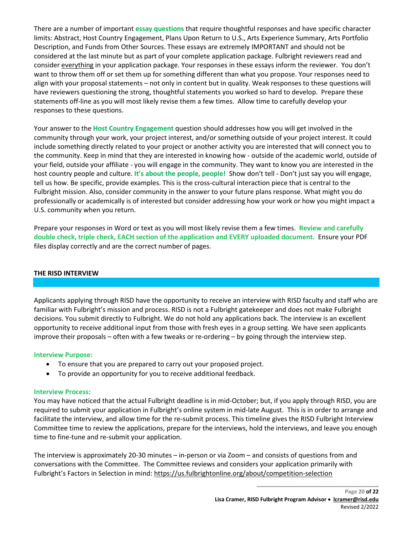There are a number of important **essay questions** that require thoughtful responses and have specific character limits: Abstract, Host Country Engagement, Plans Upon Return to U.S., Arts Experience Summary, Arts Portfolio Description, and Funds from Other Sources. These essays are extremely IMPORTANT and should not be considered at the last minute but as part of your complete application package. Fulbright reviewers read and consider everything in your application package. Your responses in these essays inform the reviewer. You don't want to throw them off or set them up for something different than what you propose. Your responses need to align with your proposal statements – not only in content but in quality. Weak responses to these questions will have reviewers questioning the strong, thoughtful statements you worked so hard to develop. Prepare these statements off-line as you will most likely revise them a few times. Allow time to carefully develop your responses to these questions.

Your answer to the **Host Country Engagement** question should addresses how you will get involved in the community through your work, your project interest, and/or something outside of your project interest. It could include something directly related to your project or another activity you are interested that will connect you to the community. Keep in mind that they are interested in knowing how - outside of the academic world, outside of your field, outside your affiliate - you will engage in the community. They want to know you are interested in the host country people and culture. **It's about the people, people!** Show don't tell - Don't just say you will engage, tell us how. Be specific, provide examples. This is the cross-cultural interaction piece that is central to the Fulbright mission. Also, consider community in the answer to your future plans response. What might you do professionally or academically is of interested but consider addressing how your work or how you might impact a U.S. community when you return.

Prepare your responses in Word or text as you will most likely revise them a few times. **Review and carefully double check, triple check, EACH section of the application and EVERY uploaded document.** Ensure your PDF files display correctly and are the correct number of pages.

# **THE RISD INTERVIEW**

Applicants applying through RISD have the opportunity to receive an interview with RISD faculty and staff who are familiar with Fulbright's mission and process. RISD is not a Fulbright gatekeeper and does not make Fulbright decisions. You submit directly to Fulbright. We do not hold any applications back. The interview is an excellent opportunity to receive additional input from those with fresh eyes in a group setting. We have seen applicants improve their proposals – often with a few tweaks or re-ordering – by going through the interview step.

## **Interview Purpose:**

- To ensure that you are prepared to carry out your proposed project.
- To provide an opportunity for you to receive additional feedback.

#### **Interview Process:**

You may have noticed that the actual Fulbright deadline is in mid-October; but, if you apply through RISD, you are required to submit your application in Fulbright's online system in mid-late August. This is in order to arrange and facilitate the interview, and allow time for the re-submit process. This timeline gives the RISD Fulbright Interview Committee time to review the applications, prepare for the interviews, hold the interviews, and leave you enough time to fine-tune and re-submit your application.

The interview is approximately 20-30 minutes – in-person or via Zoom – and consists of questions from and conversations with the Committee. The Committee reviews and considers your application primarily with Fulbright's Factors in Selection in mind:<https://us.fulbrightonline.org/about/competition-selection>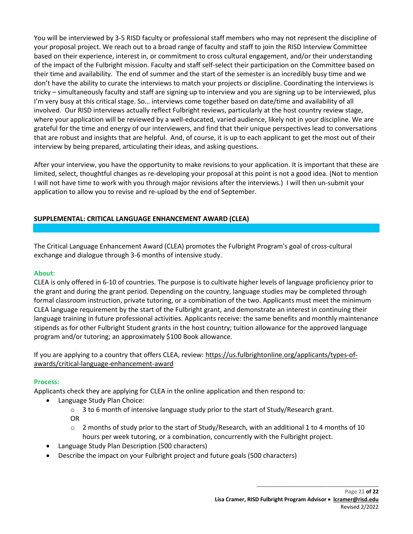You will be interviewed by 3-5 RISD faculty or professional staff members who may not represent the discipline of your proposal project. We reach out to a broad range of faculty and staff to join the RISD Interview Committee based on their experience, interest in, or commitment to cross cultural engagement, and/or their understanding of the impact of the Fulbright mission. Faculty and staff self-select their participation on the Committee based on their time and availability. The end of summer and the start of the semester is an incredibly busy time and we don't have the ability to curate the interviews to match your projects or discipline. Coordinating the interviews is tricky – simultaneously faculty and staff are signing up to interview and you are signing up to be interviewed, plus I'm very busy at this critical stage. So… interviews come together based on date/time and availability of all involved. Our RISD interviews actually reflect Fulbright reviews, particularly at the host country review stage, where your application will be reviewed by a well-educated, varied audience, likely not in your discipline. We are grateful for the time and energy of our interviewers, and find that their unique perspectives lead to conversations that are robust and insights that are helpful. And, of course, it is up to each applicant to get the most out of their interview by being prepared, articulating their ideas, and asking questions.

After your interview, you have the opportunity to make revisions to your application. It is important that these are limited, select, thoughtful changes as re-developing your proposal at this point is not a good idea. (Not to mention I will not have time to work with you through major revisions after the interviews.) I will then un-submit your application to allow you to revise and re-upload by the end of September.

# **SUPPLEMENTAL: CRITICAL LANGUAGE ENHANCEMENT AWARD (CLEA)**

The Critical Language Enhancement Award (CLEA) promotes the Fulbright Program's goal of cross-cultural exchange and dialogue through 3-6 months of intensive study.

# **About:**

CLEA is only offered in 6-10 of countries. The purpose is to cultivate higher levels of language proficiency prior to the grant and during the grant period. Depending on the country, language studies may be completed through formal classroom instruction, private tutoring, or a combination of the two. Applicants must meet the minimum CLEA language requirement by the start of the Fulbright grant, and demonstrate an interest in continuing their language training in future professional activities. Applicants receive: the same benefits and monthly maintenance stipends as for other Fulbright Student grants in the host country; tuition allowance for the approved language program and/or tutoring; an approximately \$100 Book allowance.

If you are applying to a country that offers CLEA, review[: https://us.fulbrightonline.org/applicants/types-of](https://us.fulbrightonline.org/applicants/types-of-awards/critical-language-enhancement-award)[awards/critical-language-enhancement-award](https://us.fulbrightonline.org/applicants/types-of-awards/critical-language-enhancement-award)

# **Process:**

Applicants check they are applying for CLEA in the online application and then respond to:

- Language Study Plan Choice:
	- o 3 to 6 month of intensive language study prior to the start of Study/Research grant. OR
	- o 2 months of study prior to the start of Study/Research, with an additional 1 to 4 months of 10 hours per week tutoring, or a combination, concurrently with the Fulbright project.
	- Language Study Plan Description (500 characters)
	- Describe the impact on your Fulbright project and future goals (500 characters)